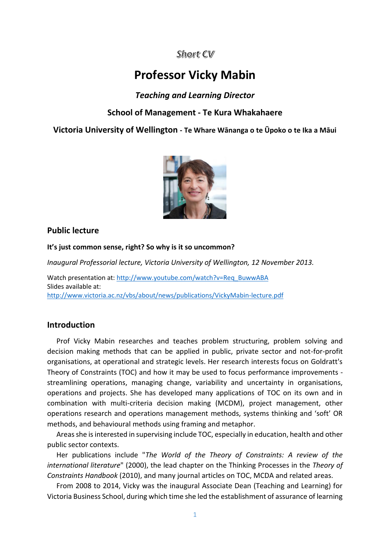# Short CV

# **Professor Vicky Mabin**

# *Teaching and Learning Director*

# **School of Management - Te Kura Whakahaere**

**Victoria University of Wellington - Te Whare Wānanga o te Ūpoko o te Ika a Māui**



#### **Public lecture**

**It's just common sense, right? So why is it so uncommon?**

*Inaugural Professorial lecture, Victoria University of Wellington, 12 November 2013.* 

Watch presentation at: [http://www.youtube.com/watch?v=Req\\_BuwwABA](http://www.youtube.com/watch?v=Req_BuwwABA) Slides available at: <http://www.victoria.ac.nz/vbs/about/news/publications/VickyMabin-lecture.pdf>

## **Introduction**

Prof Vicky Mabin researches and teaches problem structuring, problem solving and decision making methods that can be applied in public, private sector and not-for-profit organisations, at operational and strategic levels. Her research interests focus on Goldratt's Theory of Constraints (TOC) and how it may be used to focus performance improvements streamlining operations, managing change, variability and uncertainty in organisations, operations and projects. She has developed many applications of TOC on its own and in combination with multi-criteria decision making (MCDM), project management, other operations research and operations management methods, systems thinking and 'soft' OR methods, and behavioural methods using framing and metaphor.

Areas she is interested in supervising include TOC, especially in education, health and other public sector contexts.

Her publications include "*The World of the Theory of Constraints: A review of the international literature*" (2000), the lead chapter on the Thinking Processes in the *Theory of Constraints Handbook* (2010), and many journal articles on TOC, MCDA and related areas.

From 2008 to 2014, Vicky was the inaugural Associate Dean (Teaching and Learning) for Victoria Business School, during which time she led the establishment of assurance of learning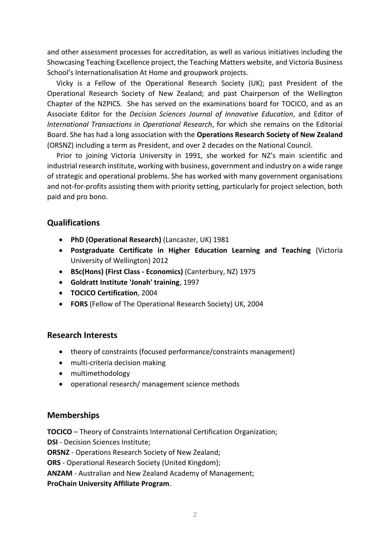and other assessment processes for accreditation, as well as various initiatives including the Showcasing Teaching Excellence project, the Teaching Matters website, and Victoria Business School's Internationalisation At Home and groupwork projects.

Vicky is a Fellow of the Operational Research Society (UK); past President of the Operational Research Society of New Zealand; and past Chairperson of the Wellington Chapter of the NZPICS. She has served on the examinations board for TOCICO, and as an Associate Editor for the *Decision Sciences Journal of Innovative Education*, and Editor of *International Transactions in Operational Research*, for which she remains on the Editorial Board. She has had a long association with the **Operations Research Society of New Zealand** (ORSNZ) including a term as President, and over 2 decades on the National Council.

Prior to joining Victoria University in 1991, she worked for NZ's main scientific and industrial research institute, working with business, government and industry on a wide range of strategic and operational problems. She has worked with many government organisations and not-for-profits assisting them with priority setting, particularly for project selection, both paid and pro bono.

## **Qualifications**

- **PhD (Operational Research)** (Lancaster, UK) 1981
- **Postgraduate Certificate in Higher Education Learning and Teaching** (Victoria University of Wellington) 2012
- **BSc(Hons) (First Class - Economics)** (Canterbury, NZ) 1975
- **Goldratt Institute 'Jonah' training**, 1997
- **TOCICO Certification**, 2004
- **FORS** (Fellow of The Operational Research Society) UK, 2004

#### **Research Interests**

- theory of constraints (focused performance/constraints management)
- multi-criteria decision making
- multimethodology
- operational research/ management science methods

## **Memberships**

**TOCICO** – Theory of Constraints International Certification Organization; **DSI** - Decision Sciences Institute;

**ORSNZ** - Operations Research Society of New Zealand;

**ORS** - Operational Research Society (United Kingdom);

**ANZAM** - Australian and New Zealand Academy of Management;

**ProChain University Affiliate Program**.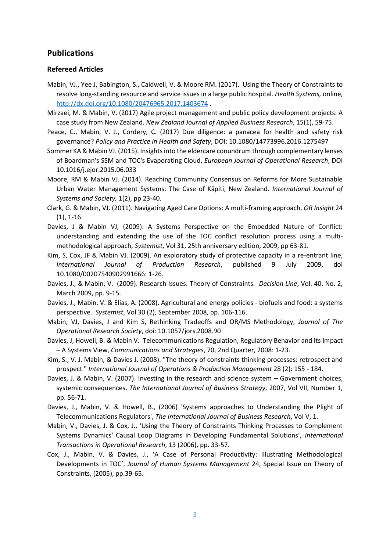### **Publications**

#### **Refereed Articles**

- Mabin, VJ., Yee J, Babington, S., Caldwell, V. & Moore RM. (2017). Using the Theory of Constraints to resolve long-standing resource and service issues in a large public hospital. *Health Systems,* online*,*  <http://dx.doi.org/10.1080/20476965.2017.1403674> .
- Mirzaei, M. & Mabin, V. (2017) Agile project management and public policy development projects: A case study from New Zealand. *New Zealand Journal of Applied Business Research*, 15(1), 59-75.
- Peace, C., Mabin, V. J., Cordery, C. (2017) Due diligence: a panacea for health and safety risk governance? *Policy and Practice in Health and Safety*, DOI: 10.1080/14773996.2016.1275497
- Sommer KA & Mabin VJ. (2015). Insights into the eldercare conundrum through complementary lenses of Boardman's SSM and TOC's Evaporating Cloud, *European Journal of Operational Research*, DOI 10.1016/j.ejor.2015.06.033
- Moore, RM & Mabin VJ. (2014). Reaching Community Consensus on Reforms for More Sustainable Urban Water Management Systems: The Case of Kāpiti, New Zealand. *International Journal of Systems and Society,* 1(2), pp 23-40.
- Clark, G. & Mabin, VJ. (2011). Navigating Aged Care Options: A multi-framing approach, *OR Insight* 24 (1), 1-16.
- Davies, J & Mabin VJ, (2009). A Systems Perspective on the Embedded Nature of Conflict: understanding and extending the use of the TOC conflict resolution process using a multimethodological approach, *Systemist*, Vol 31, 25th anniversary edition, 2009, pp 63-81.
- Kim, S, Cox, JF & Mabin VJ. (2009). An exploratory study of protective capacity in a re-entrant line, *International Journal of Production Research*, published 9 July 2009, doi 10.1080/00207540902991666: 1-26.
- Davies, J., & Mabin, V. (2009). Research Issues: Theory of Constraints*. Decision Line*, Vol. 40, No. 2, March 2009, pp. 9-15.
- Davies, J., Mabin, V. & Elias, A. (2008). Agricultural and energy policies biofuels and food: a systems perspective. *Systemist*, Vol 30 (2), September 2008, pp. 106-116.
- Mabin, VJ, Davies, J and Kim S, Rethinking Tradeoffs and OR/MS Methodology, *Journal of The Operational Research Society*, doi: 10.1057/jors.2008.90
- Davies, J, Howell, B. & Mabin V. Telecommunications Regulation, Regulatory Behavior and its Impact – A Systems View, *Communications and Strategies*, 70, 2nd Quarter, 2008: 1-23.
- Kim, S., V. J. Mabin, & Davies J. (2008). "The theory of constraints thinking processes: retrospect and prospect " *International Journal of Operations & Production Management* 28 (2): 155 - 184.
- Davies, J. & Mabin, V. (2007). Investing in the research and science system Government choices, systemic consequences, *The International Journal of Business Strategy*, 2007, Vol VII, Number 1, pp. 56-71.
- Davies, J., Mabin, V. & Howell, B., (2006) 'Systems approaches to Understanding the Plight of Telecommunications Regulators', *The International Journal of Business Research*, Vol V, 1.
- Mabin, V., Davies, J. & Cox, J., 'Using the Theory of Constraints Thinking Processes to Complement Systems Dynamics' Causal Loop Diagrams in Developing Fundamental Solutions', *International Transactions in Operational Research*, 13 (2006), pp. 33-57.
- Cox, J., Mabin, V. & Davies, J., 'A Case of Personal Productivity: Illustrating Methodological Developments in TOC', *Journal of Human Systems Management* 24, Special Issue on Theory of Constraints, (2005), pp.39-65.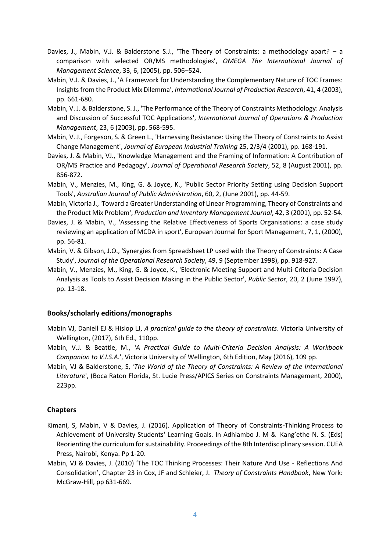- Davies, J., Mabin, V.J. & Balderstone S.J., 'The Theory of Constraints: a methodology apart? a comparison with selected OR/MS methodologies', *OMEGA The International Journal of Management Science*, 33, 6, (2005), pp. 506–524.
- Mabin, V.J. & Davies, J., 'A Framework for Understanding the Complementary Nature of TOC Frames: Insights from the Product Mix Dilemma', *International Journal of Production Research*, 41, 4 (2003), pp. 661-680.
- Mabin, V. J. & Balderstone, S. J., 'The Performance of the Theory of Constraints Methodology: Analysis and Discussion of Successful TOC Applications', *International Journal of Operations & Production Management*, 23, 6 (2003), pp. 568-595.
- Mabin, V. J., Forgeson, S. & Green L., 'Harnessing Resistance: Using the Theory of Constraints to Assist Change Management', *Journal of European Industrial Training* 25, 2/3/4 (2001), pp. 168-191.
- Davies, J. & Mabin, VJ., 'Knowledge Management and the Framing of Information: A Contribution of OR/MS Practice and Pedagogy', *Journal of Operational Research Society*, 52, 8 (August 2001), pp. 856-872.
- Mabin, V., Menzies, M., King, G. & Joyce, K., 'Public Sector Priority Setting using Decision Support Tools', *Australian Journal of Public Administration*, 60, 2, (June 2001), pp. 44-59.
- Mabin, Victoria J., 'Toward a Greater Understanding of Linear Programming, Theory of Constraints and the Product Mix Problem', *Production and Inventory Management Journal*, 42, 3 (2001), pp. 52-54.
- Davies, J. & Mabin, V., 'Assessing the Relative Effectiveness of Sports Organisations: a case study reviewing an application of MCDA in sport', European Journal for Sport Management, 7, 1, (2000), pp. 56-81.
- Mabin, V. & Gibson, J.O., 'Synergies from Spreadsheet LP used with the Theory of Constraints: A Case Study', *Journal of the Operational Research Society*, 49, 9 (September 1998), pp. 918-927.
- Mabin, V., Menzies, M., King, G. & Joyce, K., 'Electronic Meeting Support and Multi-Criteria Decision Analysis as Tools to Assist Decision Making in the Public Sector', *Public Sector*, 20, 2 (June 1997), pp. 13-18.

#### **Books/scholarly editions/monographs**

- Mabin VJ, Daniell EJ & Hislop LJ, *A practical guide to the theory of constraints*. Victoria University of Wellington, (2017), 6th Ed., 110pp.
- Mabin, V.J. & Beattie, M., *'A Practical Guide to Multi-Criteria Decision Analysis: A Workbook Companion to V.I.S.A.*', Victoria University of Wellington, 6th Edition, May (2016), 109 pp.
- Mabin, VJ & Balderstone, S, *'The World of the Theory of Constraints: A Review of the International Literature*', (Boca Raton Florida, St. Lucie Press/APICS Series on Constraints Management, 2000), 223pp.

#### **Chapters**

- Kimani, S, Mabin, V & Davies, J. (2016). Application of Theory of Constraints-Thinking Process to Achievement of University Students' Learning Goals. In Adhiambo J. M & Kang'ethe N. S. (Eds) Reorienting the curriculum for sustainability. Proceedings of the 8th Interdisciplinary session. CUEA Press, Nairobi, Kenya. Pp 1-20.
- Mabin, VJ & Davies, J. (2010) 'The TOC Thinking Processes: Their Nature And Use Reflections And Consolidation', Chapter 23 in Cox, JF and Schleier, J. *Theory of Constraints Handbook*, New York: McGraw-Hill, pp 631-669.